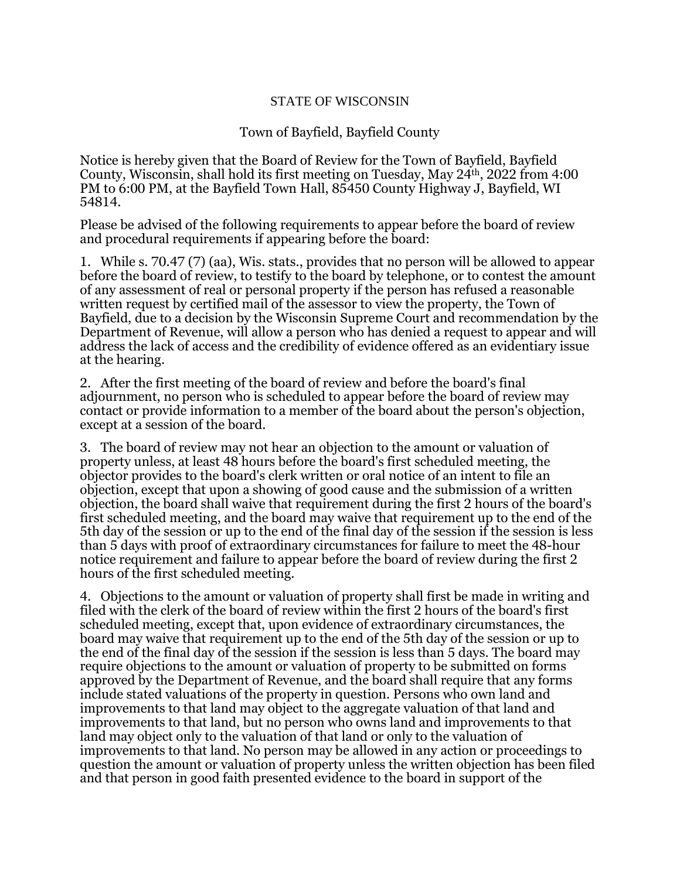## STATE OF WISCONSIN

## Town of Bayfield, Bayfield County

Notice is hereby given that the Board of Review for the Town of Bayfield, Bayfield County, Wisconsin, shall hold its first meeting on Tuesday, May 24th, 2022 from 4:00 PM to 6:00 PM, at the Bayfield Town Hall, 85450 County Highway J, Bayfield, WI 54814.

Please be advised of the following requirements to appear before the board of review and procedural requirements if appearing before the board:

1. While s. 70.47 (7) (aa), Wis. stats., provides that no person will be allowed to appear before the board of review, to testify to the board by telephone, or to contest the amount of any assessment of real or personal property if the person has refused a reasonable written request by certified mail of the assessor to view the property, the Town of Bayfield, due to a decision by the Wisconsin Supreme Court and recommendation by the Department of Revenue, will allow a person who has denied a request to appear and will address the lack of access and the credibility of evidence offered as an evidentiary issue at the hearing.

2. After the first meeting of the board of review and before the board's final adjournment, no person who is scheduled to appear before the board of review may contact or provide information to a member of the board about the person's objection, except at a session of the board.

3. The board of review may not hear an objection to the amount or valuation of property unless, at least 48 hours before the board's first scheduled meeting, the objector provides to the board's clerk written or oral notice of an intent to file an objection, except that upon a showing of good cause and the submission of a written objection, the board shall waive that requirement during the first 2 hours of the board's first scheduled meeting, and the board may waive that requirement up to the end of the 5th day of the session or up to the end of the final day of the session if the session is less than 5 days with proof of extraordinary circumstances for failure to meet the 48-hour notice requirement and failure to appear before the board of review during the first 2 hours of the first scheduled meeting.

4. Objections to the amount or valuation of property shall first be made in writing and filed with the clerk of the board of review within the first 2 hours of the board's first scheduled meeting, except that, upon evidence of extraordinary circumstances, the board may waive that requirement up to the end of the 5th day of the session or up to the end of the final day of the session if the session is less than 5 days. The board may require objections to the amount or valuation of property to be submitted on forms approved by the Department of Revenue, and the board shall require that any forms include stated valuations of the property in question. Persons who own land and improvements to that land may object to the aggregate valuation of that land and improvements to that land, but no person who owns land and improvements to that land may object only to the valuation of that land or only to the valuation of improvements to that land. No person may be allowed in any action or proceedings to question the amount or valuation of property unless the written objection has been filed and that person in good faith presented evidence to the board in support of the